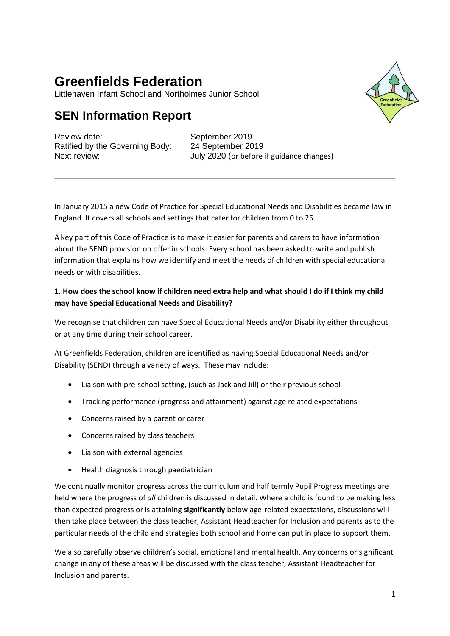# **Greenfields Federation**

Littlehaven Infant School and Northolmes Junior School

# **SEN Information Report**

Review date: September 2019 Ratified by the Governing Body: 24 September 2019

Next review: July 2020 (or before if guidance changes)

In January 2015 a new Code of Practice for Special Educational Needs and Disabilities became law in England. It covers all schools and settings that cater for children from 0 to 25.

A key part of this Code of Practice is to make it easier for parents and carers to have information about the SEND provision on offer in schools. Every school has been asked to write and publish information that explains how we identify and meet the needs of children with special educational needs or with disabilities.

# **1. How does the school know if children need extra help and what should I do if I think my child may have Special Educational Needs and Disability?**

We recognise that children can have Special Educational Needs and/or Disability either throughout or at any time during their school career.

At Greenfields Federation, children are identified as having Special Educational Needs and/or Disability (SEND) through a variety of ways. These may include:

- Liaison with pre-school setting, (such as Jack and Jill) or their previous school
- Tracking performance (progress and attainment) against age related expectations
- Concerns raised by a parent or carer
- Concerns raised by class teachers
- Liaison with external agencies
- Health diagnosis through paediatrician

We continually monitor progress across the curriculum and half termly Pupil Progress meetings are held where the progress of *all* children is discussed in detail. Where a child is found to be making less than expected progress or is attaining **significantly** below age-related expectations, discussions will then take place between the class teacher, Assistant Headteacher for Inclusion and parents as to the particular needs of the child and strategies both school and home can put in place to support them.

We also carefully observe children's social, emotional and mental health. Any concerns or significant change in any of these areas will be discussed with the class teacher, Assistant Headteacher for Inclusion and parents.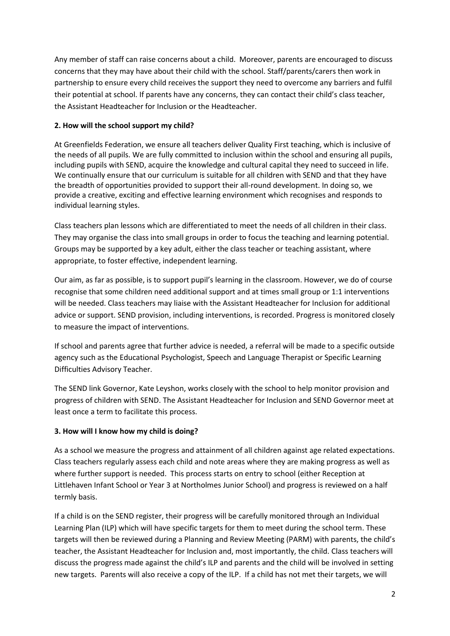Any member of staff can raise concerns about a child. Moreover, parents are encouraged to discuss concerns that they may have about their child with the school. Staff/parents/carers then work in partnership to ensure every child receives the support they need to overcome any barriers and fulfil their potential at school. If parents have any concerns, they can contact their child's class teacher, the Assistant Headteacher for Inclusion or the Headteacher.

#### **2. How will the school support my child?**

At Greenfields Federation, we ensure all teachers deliver Quality First teaching, which is inclusive of the needs of all pupils. We are fully committed to inclusion within the school and ensuring all pupils, including pupils with SEND, acquire the knowledge and cultural capital they need to succeed in life. We continually ensure that our curriculum is suitable for all children with SEND and that they have the breadth of opportunities provided to support their all-round development. In doing so, we provide a creative, exciting and effective learning environment which recognises and responds to individual learning styles.

Class teachers plan lessons which are differentiated to meet the needs of all children in their class. They may organise the class into small groups in order to focus the teaching and learning potential. Groups may be supported by a key adult, either the class teacher or teaching assistant, where appropriate, to foster effective, independent learning.

Our aim, as far as possible, is to support pupil's learning in the classroom. However, we do of course recognise that some children need additional support and at times small group or 1:1 interventions will be needed. Class teachers may liaise with the Assistant Headteacher for Inclusion for additional advice or support. SEND provision, including interventions, is recorded. Progress is monitored closely to measure the impact of interventions.

If school and parents agree that further advice is needed, a referral will be made to a specific outside agency such as the Educational Psychologist, Speech and Language Therapist or Specific Learning Difficulties Advisory Teacher.

The SEND link Governor, Kate Leyshon, works closely with the school to help monitor provision and progress of children with SEND. The Assistant Headteacher for Inclusion and SEND Governor meet at least once a term to facilitate this process.

# **3. How will I know how my child is doing?**

As a school we measure the progress and attainment of all children against age related expectations. Class teachers regularly assess each child and note areas where they are making progress as well as where further support is needed. This process starts on entry to school (either Reception at Littlehaven Infant School or Year 3 at Northolmes Junior School) and progress is reviewed on a half termly basis.

If a child is on the SEND register, their progress will be carefully monitored through an Individual Learning Plan (ILP) which will have specific targets for them to meet during the school term. These targets will then be reviewed during a Planning and Review Meeting (PARM) with parents, the child's teacher, the Assistant Headteacher for Inclusion and, most importantly, the child. Class teachers will discuss the progress made against the child's ILP and parents and the child will be involved in setting new targets. Parents will also receive a copy of the ILP. If a child has not met their targets, we will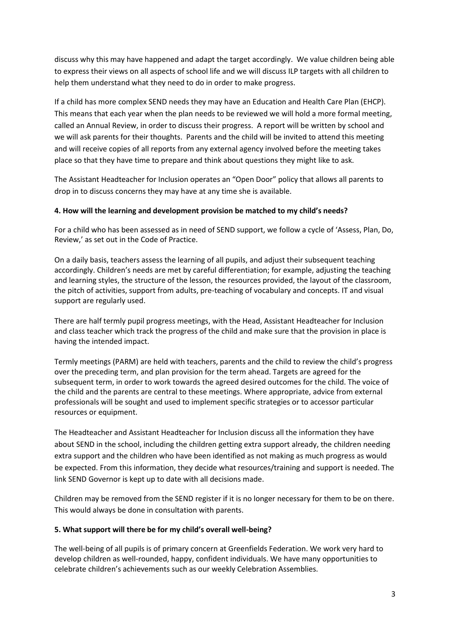discuss why this may have happened and adapt the target accordingly. We value children being able to express their views on all aspects of school life and we will discuss ILP targets with all children to help them understand what they need to do in order to make progress.

If a child has more complex SEND needs they may have an Education and Health Care Plan (EHCP). This means that each year when the plan needs to be reviewed we will hold a more formal meeting, called an Annual Review, in order to discuss their progress. A report will be written by school and we will ask parents for their thoughts. Parents and the child will be invited to attend this meeting and will receive copies of all reports from any external agency involved before the meeting takes place so that they have time to prepare and think about questions they might like to ask.

The Assistant Headteacher for Inclusion operates an "Open Door" policy that allows all parents to drop in to discuss concerns they may have at any time she is available.

#### **4. How will the learning and development provision be matched to my child's needs?**

For a child who has been assessed as in need of SEND support, we follow a cycle of 'Assess, Plan, Do, Review,' as set out in the Code of Practice.

On a daily basis, teachers assess the learning of all pupils, and adjust their subsequent teaching accordingly. Children's needs are met by careful differentiation; for example, adjusting the teaching and learning styles, the structure of the lesson, the resources provided, the layout of the classroom, the pitch of activities, support from adults, pre-teaching of vocabulary and concepts. IT and visual support are regularly used.

There are half termly pupil progress meetings, with the Head, Assistant Headteacher for Inclusion and class teacher which track the progress of the child and make sure that the provision in place is having the intended impact.

Termly meetings (PARM) are held with teachers, parents and the child to review the child's progress over the preceding term, and plan provision for the term ahead. Targets are agreed for the subsequent term, in order to work towards the agreed desired outcomes for the child. The voice of the child and the parents are central to these meetings. Where appropriate, advice from external professionals will be sought and used to implement specific strategies or to accessor particular resources or equipment.

The Headteacher and Assistant Headteacher for Inclusion discuss all the information they have about SEND in the school, including the children getting extra support already, the children needing extra support and the children who have been identified as not making as much progress as would be expected. From this information, they decide what resources/training and support is needed. The link SEND Governor is kept up to date with all decisions made.

Children may be removed from the SEND register if it is no longer necessary for them to be on there. This would always be done in consultation with parents.

#### **5. What support will there be for my child's overall well-being?**

The well-being of all pupils is of primary concern at Greenfields Federation. We work very hard to develop children as well-rounded, happy, confident individuals. We have many opportunities to celebrate children's achievements such as our weekly Celebration Assemblies.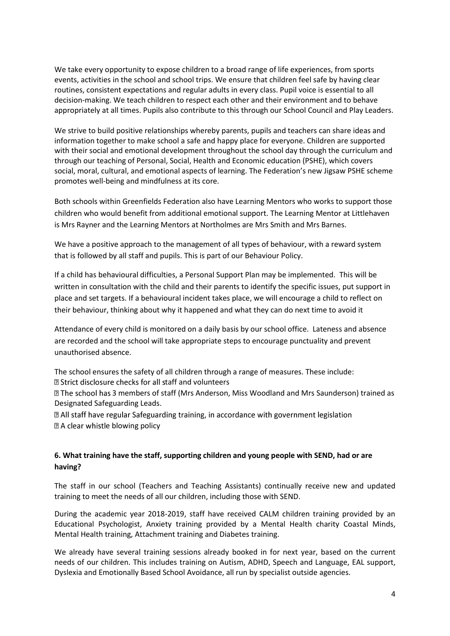We take every opportunity to expose children to a broad range of life experiences, from sports events, activities in the school and school trips. We ensure that children feel safe by having clear routines, consistent expectations and regular adults in every class. Pupil voice is essential to all decision-making. We teach children to respect each other and their environment and to behave appropriately at all times. Pupils also contribute to this through our School Council and Play Leaders.

We strive to build positive relationships whereby parents, pupils and teachers can share ideas and information together to make school a safe and happy place for everyone. Children are supported with their social and emotional development throughout the school day through the curriculum and through our teaching of Personal, Social, Health and Economic education (PSHE), which covers social, moral, cultural, and emotional aspects of learning. The Federation's new Jigsaw PSHE scheme promotes well-being and mindfulness at its core.

Both schools within Greenfields Federation also have Learning Mentors who works to support those children who would benefit from additional emotional support. The Learning Mentor at Littlehaven is Mrs Rayner and the Learning Mentors at Northolmes are Mrs Smith and Mrs Barnes.

We have a positive approach to the management of all types of behaviour, with a reward system that is followed by all staff and pupils. This is part of our Behaviour Policy.

If a child has behavioural difficulties, a Personal Support Plan may be implemented. This will be written in consultation with the child and their parents to identify the specific issues, put support in place and set targets. If a behavioural incident takes place, we will encourage a child to reflect on their behaviour, thinking about why it happened and what they can do next time to avoid it

Attendance of every child is monitored on a daily basis by our school office. Lateness and absence are recorded and the school will take appropriate steps to encourage punctuality and prevent unauthorised absence.

The school ensures the safety of all children through a range of measures. These include: X Strict disclosure checks for all staff and volunteers

 $\mathbb B$  The school has 3 members of staff (Mrs Anderson, Miss Woodland and Mrs Saunderson) trained as Designated Safeguarding Leads.

a All staff have regular Safeguarding training, in accordance with government legislation a A clear whistle blowing policy

#### **6. What training have the staff, supporting children and young people with SEND, had or are having?**

The staff in our school (Teachers and Teaching Assistants) continually receive new and updated training to meet the needs of all our children, including those with SEND.

During the academic year 2018-2019, staff have received CALM children training provided by an Educational Psychologist, Anxiety training provided by a Mental Health charity Coastal Minds, Mental Health training, Attachment training and Diabetes training.

We already have several training sessions already booked in for next year, based on the current needs of our children. This includes training on Autism, ADHD, Speech and Language, EAL support, Dyslexia and Emotionally Based School Avoidance, all run by specialist outside agencies.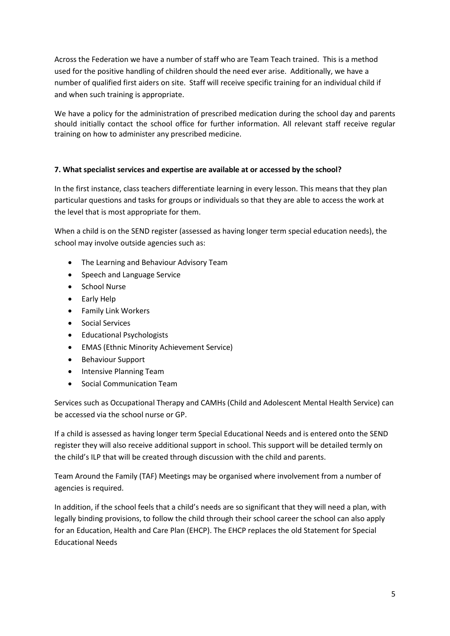Across the Federation we have a number of staff who are Team Teach trained. This is a method used for the positive handling of children should the need ever arise. Additionally, we have a number of qualified first aiders on site. Staff will receive specific training for an individual child if and when such training is appropriate.

We have a policy for the administration of prescribed medication during the school day and parents should initially contact the school office for further information. All relevant staff receive regular training on how to administer any prescribed medicine.

#### **7. What specialist services and expertise are available at or accessed by the school?**

In the first instance, class teachers differentiate learning in every lesson. This means that they plan particular questions and tasks for groups or individuals so that they are able to access the work at the level that is most appropriate for them.

When a child is on the SEND register (assessed as having longer term special education needs), the school may involve outside agencies such as:

- The Learning and Behaviour Advisory Team
- Speech and Language Service
- School Nurse
- Early Help
- Family Link Workers
- **•** Social Services
- **•** Educational Psychologists
- EMAS (Ethnic Minority Achievement Service)
- Behaviour Support
- Intensive Planning Team
- Social Communication Team

Services such as Occupational Therapy and CAMHs (Child and Adolescent Mental Health Service) can be accessed via the school nurse or GP.

If a child is assessed as having longer term Special Educational Needs and is entered onto the SEND register they will also receive additional support in school. This support will be detailed termly on the child's ILP that will be created through discussion with the child and parents.

Team Around the Family (TAF) Meetings may be organised where involvement from a number of agencies is required.

In addition, if the school feels that a child's needs are so significant that they will need a plan, with legally binding provisions, to follow the child through their school career the school can also apply for an Education, Health and Care Plan (EHCP). The EHCP replaces the old Statement for Special Educational Needs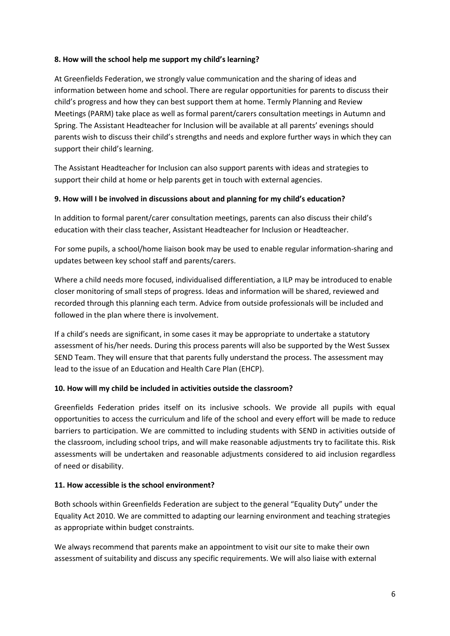#### **8. How will the school help me support my child's learning?**

At Greenfields Federation, we strongly value communication and the sharing of ideas and information between home and school. There are regular opportunities for parents to discuss their child's progress and how they can best support them at home. Termly Planning and Review Meetings (PARM) take place as well as formal parent/carers consultation meetings in Autumn and Spring. The Assistant Headteacher for Inclusion will be available at all parents' evenings should parents wish to discuss their child's strengths and needs and explore further ways in which they can support their child's learning.

The Assistant Headteacher for Inclusion can also support parents with ideas and strategies to support their child at home or help parents get in touch with external agencies.

#### **9. How will I be involved in discussions about and planning for my child's education?**

In addition to formal parent/carer consultation meetings, parents can also discuss their child's education with their class teacher, Assistant Headteacher for Inclusion or Headteacher.

For some pupils, a school/home liaison book may be used to enable regular information-sharing and updates between key school staff and parents/carers.

Where a child needs more focused, individualised differentiation, a ILP may be introduced to enable closer monitoring of small steps of progress. Ideas and information will be shared, reviewed and recorded through this planning each term. Advice from outside professionals will be included and followed in the plan where there is involvement.

If a child's needs are significant, in some cases it may be appropriate to undertake a statutory assessment of his/her needs. During this process parents will also be supported by the West Sussex SEND Team. They will ensure that that parents fully understand the process. The assessment may lead to the issue of an Education and Health Care Plan (EHCP).

#### **10. How will my child be included in activities outside the classroom?**

Greenfields Federation prides itself on its inclusive schools. We provide all pupils with equal opportunities to access the curriculum and life of the school and every effort will be made to reduce barriers to participation. We are committed to including students with SEND in activities outside of the classroom, including school trips, and will make reasonable adjustments try to facilitate this. Risk assessments will be undertaken and reasonable adjustments considered to aid inclusion regardless of need or disability.

#### **11. How accessible is the school environment?**

Both schools within Greenfields Federation are subject to the general "Equality Duty" under the Equality Act 2010. We are committed to adapting our learning environment and teaching strategies as appropriate within budget constraints.

We always recommend that parents make an appointment to visit our site to make their own assessment of suitability and discuss any specific requirements. We will also liaise with external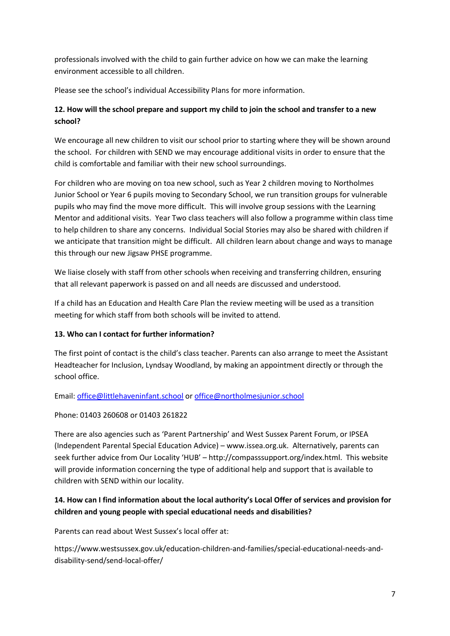professionals involved with the child to gain further advice on how we can make the learning environment accessible to all children.

Please see the school's individual Accessibility Plans for more information.

# **12. How will the school prepare and support my child to join the school and transfer to a new school?**

We encourage all new children to visit our school prior to starting where they will be shown around the school. For children with SEND we may encourage additional visits in order to ensure that the child is comfortable and familiar with their new school surroundings.

For children who are moving on toa new school, such as Year 2 children moving to Northolmes Junior School or Year 6 pupils moving to Secondary School, we run transition groups for vulnerable pupils who may find the move more difficult. This will involve group sessions with the Learning Mentor and additional visits. Year Two class teachers will also follow a programme within class time to help children to share any concerns. Individual Social Stories may also be shared with children if we anticipate that transition might be difficult. All children learn about change and ways to manage this through our new Jigsaw PHSE programme.

We liaise closely with staff from other schools when receiving and transferring children, ensuring that all relevant paperwork is passed on and all needs are discussed and understood.

If a child has an Education and Health Care Plan the review meeting will be used as a transition meeting for which staff from both schools will be invited to attend.

# **13. Who can I contact for further information?**

The first point of contact is the child's class teacher. Parents can also arrange to meet the Assistant Headteacher for Inclusion, Lyndsay Woodland, by making an appointment directly or through the school office.

Email: [office@littlehaveninfant.school](mailto:office@littlehaveninfant.school) or [office@northolmesjunior.school](mailto:office@northolmesjunior.school)

Phone: 01403 260608 or 01403 261822

There are also agencies such as 'Parent Partnership' and West Sussex Parent Forum, or IPSEA (Independent Parental Special Education Advice) – www.issea.org.uk. Alternatively, parents can seek further advice from Our Locality 'HUB' – http://compasssupport.org/index.html. This website will provide information concerning the type of additional help and support that is available to children with SEND within our locality.

# **14. How can I find information about the local authority's Local Offer of services and provision for children and young people with special educational needs and disabilities?**

Parents can read about West Sussex's local offer at:

https://www.westsussex.gov.uk/education-children-and-families/special-educational-needs-anddisability-send/send-local-offer/